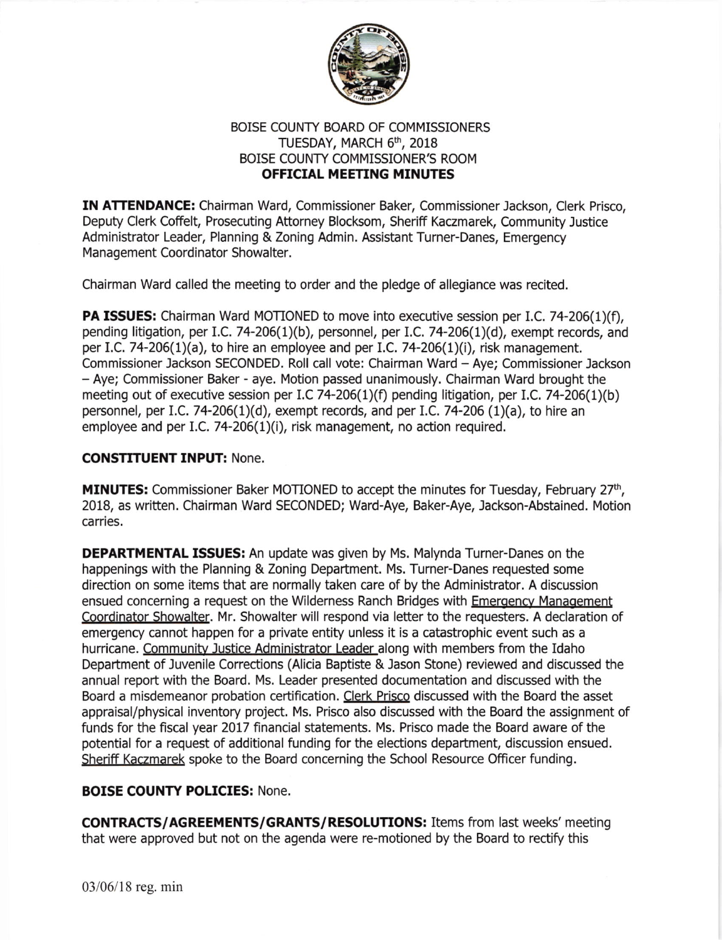

## BOISE COUNTY BOARD OF COMMISSIONERS TUESDAY, MARCH 6<sup>th</sup>, 2018 BOISE COUNTY COMMISSIONER'S ROOM OFFICIAL MEETING MINUTES

IN ATTENDANCE: Chairman Ward, Commissioner Baker, Commissioner Jackson, Clerk Prisco, Deputy Clerk Coffelt, Prosecuting Attorney Blocksom, Sheriff Kaczmarek, Community Justice Administrator Leader, Planning & Zoning Admin. Assistant Turner-Danes, Emergency Management Coordinator Showalter.

Chairman Ward called the meeting to order and the pledge of allegiance was recited.

**PA ISSUES:** Chairman Ward MOTIONED to move into executive session per I.C. 74-206(1)(f), pending litigation, per I.C. 74-206(1)(b), personnel, per I.C. 74-206(1)(d), exempt records, and per I.C. 74-206(1)(a), to hire an employee and per I.C. 74-206(1)(i), risk management. Commissioner Jackson SECONDED. Roll call vote: Chairman Ward - Aye; Commissioner Jackson - Aye; Commissioner Baker - aye. Motion passed unanimously. Chairman Ward brought the meeting out of executive session per I.C 74-206(1)(f) pending litigation, per I.C. 74-206(1)(b) personnel, per l.C.74-206(1)(d), exempt records, and per 1.C.74-206 (1)(a), to hire an employee and per I.C. 74-206(1)(i), risk management, no action required.

## CONSTITUENT INPUT: None.

**MINUTES:** Commissioner Baker MOTIONED to accept the minutes for Tuesday, February 27<sup>th</sup>, 2018, as written. Chairman Ward SECONDED; Ward-Aye, Baker-Aye, Jackson-Abstained. Motion carries.

DEPARTMENTAL ISSUES: An update was given by Ms. Malynda Turner-Danes on the happenings with the Planning & Zoning Department. Ms. Turner-Danes requested some direction on some items that are normally taken care of by the Administrator. A discussion ensued concerning a request on the Wilderness Ranch Bridges with Emergency Management Coordinator Showalter. Mr. Showalter will respond via letter to the requesters. A declaration of emergency cannot happen for a private entity unless it is a catastrophic event such as a hurricane. Communitv Justice Administrator Leader along with members from the Idaho Depaftment of Juvenile Corrections (Alicia Baptiste & Jason Stone) reviewed and discussed the annual report with the Board. Ms. Leader presented documentation and discussed with the Board a misdemeanor probation certification. Clerk Prisco discussed with the Board the asset appraisal/physical inventory project. Ms. Prisco also discussed with the Board the assignment of funds for the fiscal year 2017 financial statements. Ms. Prisco made the Board aware of the potential for a request of additional funding for the elections department, discussion ensued. Sheriff Kaczmarek spoke to the Board concerning the School Resource Officer funding.

## BOISE COUNTY POLICIES: None.

CONTRACTS/AGREEMENTS/GRANTS/RESOLUTIONS: Items from last weeks' meeting that were approved but not on the agenda were re-motioned by the Board to rectify this